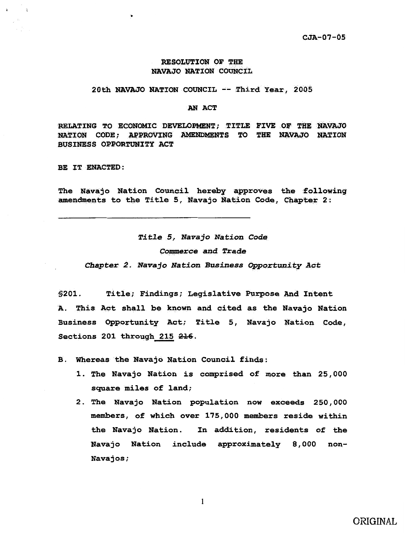### RESOLUTION OF THE NAVAJO NATION COUNCIL

#### 20th NAVAJO NATION COUNCIL  $--$  Third Year, 2005

#### AN ACT

RELATING TO ECONOMIC DEVELOPMENT; TITLE FIVE OF THE NAVAJO NATION CODE; APPROVING AMENDMENTS TO THE NAVAJO NATION BUSINESS OPPORTUNITY ACT

BE IT ENACTED:

The Navajo Nation Council hereby approves the following amendments to the Title 5, Navajo Nation Code, Chapter 2:

Title 5, Navajo Nation Code Commerce and Trade Chapter 2. Navajo Nation Business Opportunity Act

§201. Title; Findings; Legislative Purpose And Intent A. This Act shall be known and cited as the Navajo Nation Business Opportunity Act; Title 5, Navajo Nation Code, Sections 201 through 215 216.

B. Whereas the Navajo Nation Council finds:

- 1. The Navajo Nation is comprised of more than 25, 000 square miles of land;
- 2. The Navajo Nation population now exceeds 250,000 members, of which over 175,000 members reside within the Navajo Nation. In addition, residents of the Navajo Nation include approximately 8, 000 non-Navajos;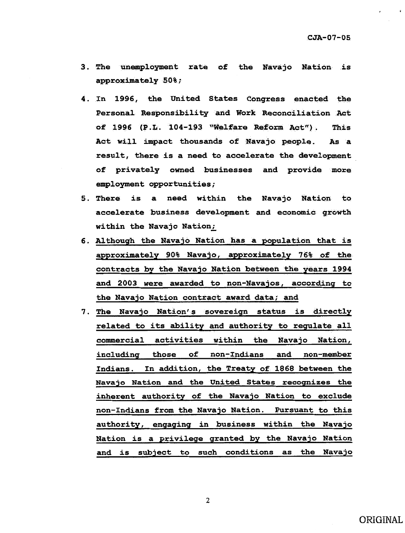- 3. The unemployment rate of the Navajo Nation is approximately  $50%$ ;
- 4. In 1996, the United States Congress enacted the Personal Responsibility and Work Reconciliation Act of 1996 (P.L. 104-193 "Welfare Reform Act"). This Act will impact thousands of Navajo people. As a result, there is a need to accelerate the development of privately owned businesses and provide more employment opportunities;
- 5. There is a need within the Navajo Nation to accelerate business development and economic growth within the Navajo Nation;
- 6. Although the Navajo Nation has a population that is approximately 90% Navajo, approximately 76% of the contracts by the Navajo Nation between the years 1994 and 2003 were awarded to non-Navajos, according to the Navajo Nation contract award data; and
- 7. The Navajo Nation's sovereign status is directly related to its ability and authority to regulate all commercial activities within the Navajo Nation, including those of non-Indians and non-member Indians. In addition, the Treaty of 1S68 between the Navajo Nation and the United States recognizes the inherent authority of the Navajo Nation to exclude non-Indians from the Navajo Nation. Pursuant to this authority, engaging in business within the Navajo Nation is a privilege granted by the Navajo Nation and is subject to such conditions as the Navajo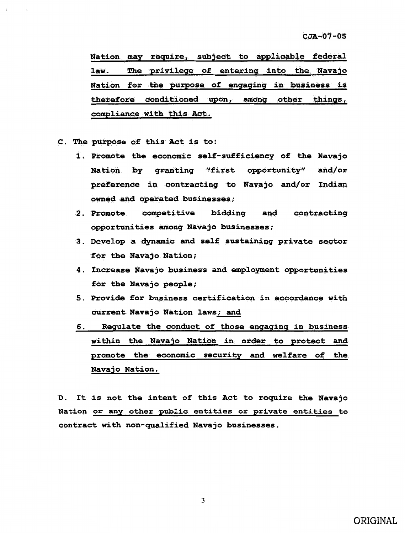Nation may require, subject to applicable federal law. The privilege of entering into the Navajo Nation for the purpose of engaging in business is therefore conditioned upon, among other things, compliance with this Act.

- c. The purpose of this Act is to:
	- 1. Promote the economic self-sufficiency of the Navajo Nation by granting ''first opportunity" and/or preference in contracting to Navajo and/or Indian owned and operated businesses;
	- 2. Promote competitive bidding and contracting opportunities among Navajo businesses;
	- 3. Develop a dynamic and self sustaining private sector for the Navajo Nation;
	- 4. Increase Navajo business and employment opportunities for the Navajo people;
	- 5. Provide for business certification in accordance with current Navajo Nation laws; and
	- 6. Regulate the conduct of those engaging in business within the Navajo Nation in order to protect and promote the economic security and welfare of the Navajo Nation.

D. It is not the intent of this Act to require the Navajo Nation or any other pub1ic entities or private entities to contract with non-qualified Navajo businesses.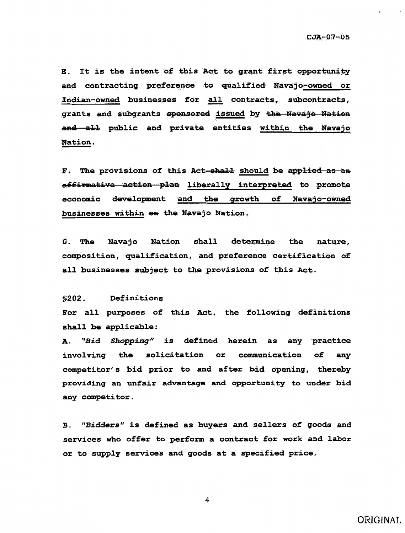E. It is the intent of this Act to grant first opportunity and contracting preference to qualified Navajo-owned or Indian-owned businesses for all contracts, subcontracts, grants and subgrants sponsored issued by the Navajo Nation and all public and private entities within the Navajo Nation.

F. The provisions of this Act-shall should be applied as an affirmative action plan liberally interpreted to promote economic development and the growth of Navajo-owned businesses within on the Navajo Nation.

shall determine **Nation** the **G.** The Navajo nature, composition, qualification, and preference certification of all businesses subject to the provisions of this Act.

#### $$202.$ Definitions

For all purposes of this Act, the following definitions shall be applicable:

A. "Bid Shopping" is defined herein as any practice involving the solicitation or communication of any competitor's bid prior to and after bid opening, thereby providing an unfair advantage and opportunity to under bid any competitor.

B. "Bidders" is defined as buyers and sellers of goods and services who offer to perform a contract for work and labor or to supply services and goods at a specified price.

4

ORIGINAL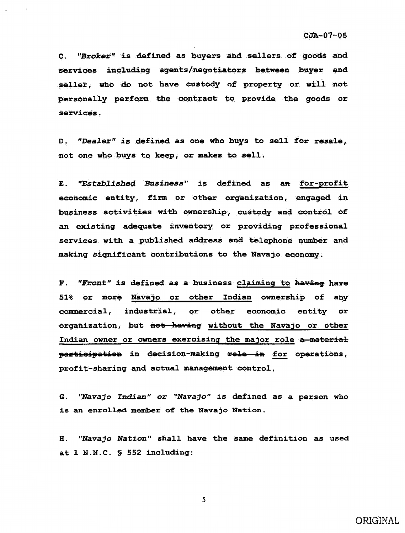c. *"Broker"* is defined as buyers and sellers of goods and services including agents/negotiators between buyer and seller, who do not have custody of property or will not personally perform the contract to provide the goods or services.

D. *"Dealer"* is defined as one who buys to sell for resale, not one who buys to keep, or makes to sell.

E. *"Established Business"* is defined as a<del>n</del> for-profit economic entity, firm or other organization, engaged in business activities with ownership, custody and control of an existing adequate inventory or providing professional services with a published address and telephone number and making significant contributions to the Navajo economy.

F. "Front" is defined as a business claiming to having have 51% or more Navajo or other Indian ownership of any commercial, industrial, or other economic entity or organization, but not having without the Navajo or other Indian owner or owners exercising the major role a material participation in decision-making role in for operations, profit-sharing and actual management control.

G. "Navajo *Indian" or "Navajo"* is defined as a person who is an enrolled member of the Navajo Nation.

H. "Navajo *Nation"* shall have the same definition as used at 1 N.N.C. § 552 including: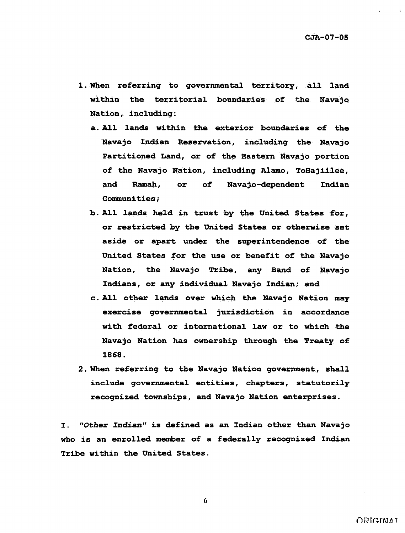- 1. When referring to governmental territory, all land within the territorial boundaries of the Navajo Nation, including:
	- a. All lands within the exterior boundaries of the Navajo Indian Reservation, including the Navajo Partitioned Land, or of the Eastern Navajo portion of the Navajo Nation, including Alamo, ToHajiilee, and Ramah, or of Navajo-dependent Indian Communities;
	- b. All lands held in trust by the United States for, or restricted by the United States or otherwise set aside or apart under the superintendence of the United States for the use or benefit of the Navajo Nation, the Navajo Tribe, any Band of Navajo Indians, or any individual Navajo Indian; and
	- c. All other lands over which the Navajo Nation may exercise governmental jurisdiction in accordance with federal or international law or to which the Navajo Nation has ownership through the Treaty of 1868.
- 2. When referring to the Navajo Nation government, shall include governmental entities, chapters, statutorily recognized townships, and Navajo Nation enterprises.

I. "Other *Indian*" is defined as an Indian other than Navajo who is an enrolled member of a federally recognized Indian Tribe within the United States.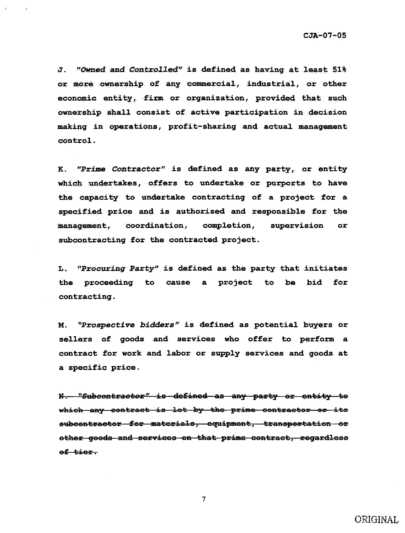J. "Owned and Controlled" is defined as having at least 51% or more ownership of any commercial, industrial, or other economic entity, firm or organization, provided that such ownership shall consist of active participation in decision making in operations, profit-sharing and actual management control.

K. "Prime Contractor" is defined as any party, or entity which undertakes, offers to undertake or purports to have the capacity to undertake contracting of a project for a specified price and is authorized and responsible for the management, coordination, **completion,** supervision or subcontracting for the contracted project.

"Procuring Party" is defined as the party that initiates L. the proceeding to cause a project to be bid for contracting.

"Prospective bidders" is defined as potential buyers or **M**. sellers of goods and services who offer to perform a contract for work and labor or supply services and goods at a specific price.

N. "Subcontractor" is defined as any party or entity to which any contract is let by the prime contractor or its subcontractor for materials, equipment, transportation or other goods and services on that prime contract, regardless of tier.

ORIGINAL

 $\overline{7}$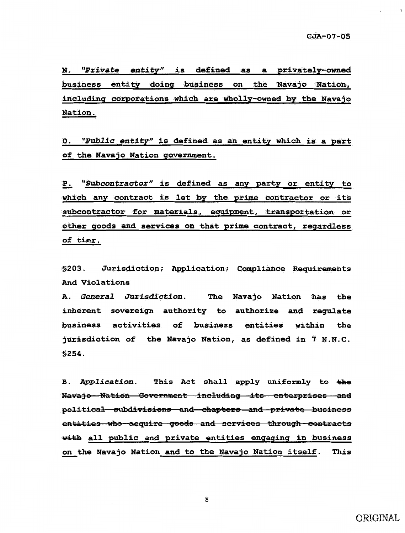N. "Private entity" is defined as a privately-owned business entity doing business on the Navajo Nation, including corporations which are wholly-owned by the Navajo **Nation.** 

O. "Public entity" is defined as an entity which is a part of the Navajo Nation government.

"Subcontractor" is defined as any party or entity to Р. which any contract is let by the prime contractor or its subcontractor for materials, equipment, transportation or other goods and services on that prime contract, regardless of tier.

Jurisdiction; Application; Compliance Requirements  $$203.$ And Violations

**A. General Jurisdiction.** The Navajo Nation has the inherent sovereign authority to authorize and regulate business activities of business entities within the jurisdiction of the Navajo Nation, as defined in 7 N.N.C. \$254.

B. Application. This Act shall apply uniformly to the Navajo Nation Government including its enterprises and political subdivisions and chapters and private business entities who acquire goods and services through contracts with all public and private entities engaging in business on the Navajo Nation and to the Navajo Nation itself. This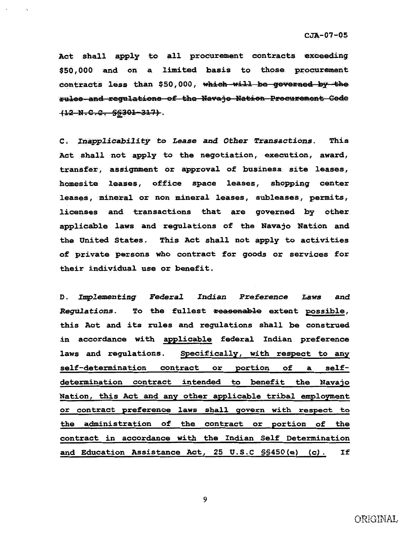Act shall apply to all procurement contracts exceeding \$50,000 and on a limited basis to those procurement contracts less than \$50,000, which will be governed by the rules and regulations of the Navajo Nation Procurement Gode  $(12-N.C.C. SSS01-317)$ .

C. Inapplicability to Lease and Other Transactions. This Act shall not apply to the negotiation, execution, award, transfer, assignment or approval of business site leases, homesite leases, office space leases, shopping center leases, mineral or non mineral leases, subleases, permits, licenses and transactions that are governed by other applicable laws and regulations of the Navajo Nation and the United States. This Act shall not apply to activities of private persons who contract for goods or services for their individual use or benefit.

D. Implementing Federal **Indian Preference** Laws and Regulations. To the fullest reasonable extent possible, this Act and its rules and regulations shall be construed in accordance with applicable federal Indian preference Specifically, with respect to any laws and regulations. or portion self-determination contract of self- $\mathbf{a}$ determination contract intended to benefit the Navajo Nation, this Act and any other applicable tribal employment or contract preference laws shall govern with respect to the administration of the contract or portion of the contract in accordance with the Indian Self Determination and Education Assistance Act, 25 U.S.C SS450(e) (c). If

ORIGINAL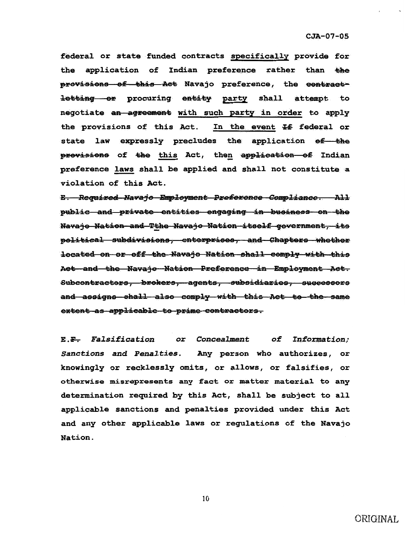federal or state funded contracts specifically provide for application of Indian preference rather than the the provisions of this Act Navajo preference, the contractletting or procuring entity party shall attempt to negotiate an agreement with such party in order to apply the provisions of this Act. In the event If federal or state law expressly precludes the application of the provisions of the this Act, then application of Indian preference laws shall be applied and shall not constitute a violation of this Act.

E. Required Navajo Employment Preference Compliance. All public and private entities engaging in business on the Navajo Nation and Tthe Navajo Nation itself government, its political subdivisions, enterprises, and Chapters whether located on or off the Navajo Nation shall comply with this Aet and the Navajo Nation Preference in Employment Act. Subcontractors, brokers, agents, subsidiaries, successors and assigns shall also comply with this Act to the same extent as applicable to prime contractors.

E.F. Falsification or Concealment of Information; Sanctions and Penalties. Any person who authorizes, or knowingly or recklessly omits, or allows, or falsifies, or otherwise misrepresents any fact or matter material to any determination required by this Act, shall be subject to all applicable sanctions and penalties provided under this Act and any other applicable laws or regulations of the Navajo Nation.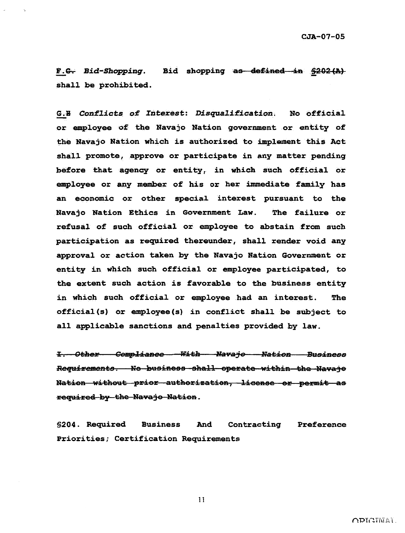Bid shopping as defined in \$202(A) F.G. Bid-Shopping. shall be prohibited.

G.H Conflicts of Interest: Disqualification. No official or employee of the Navajo Nation government or entity of the Navajo Nation which is authorized to implement this Act shall promote, approve or participate in any matter pending before that agency or entity, in which such official or employee or any member of his or her immediate family has an economic or other special interest pursuant to the Navajo Nation Ethics in Government Law. The failure or refusal of such official or employee to abstain from such participation as required thereunder, shall render void any approval or action taken by the Navajo Nation Government or entity in which such official or employee participated, to the extent such action is favorable to the business entity in which such official or employee had an interest. The official(s) or employee(s) in conflict shall be subject to all applicable sanctions and penalties provided by law.

1. Other Compliance With Navajo Nation Business Requirements. No business shall operate within the Navajo Nation without prior authorization, license or permit as required by the Navajo Nation.

**\$204. Required Business** And Contracting Preference Priorities; Certification Requirements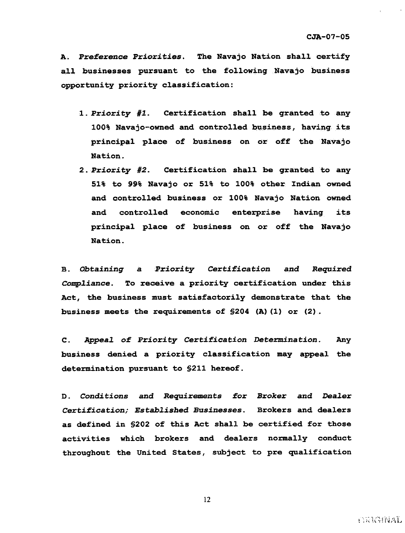A. Preference *Priorities.* The Navajo Nation shall certify all businesses pursuant to the following Navajo business opportunity priority classification:

- 1. *Priority #1*. Certification shall be granted to any 100% Navajo-owned and controlled business, having its principal place of business on or off the Navajo Nation.
- 2. *Priority 1/2.* Certification shall be qranted to any 51% to 99% Navajo or 51% to 100% other Indian owned and controlled business or 100% Navajo Nation owned and controlled economic enterprise havinq its principal place of business on or off the Navajo Nation.

a. *Obtaining* a *Priority Certification* and *.Required*  Compliance. To receive a priority certification under this Act, the business must satisfactorily demonstrate that the business meets the requirements of §204 (A) (1) or (2) .

c. *Appea2* of *Priority Certification Determination.* Any business denied a priority classification may appeal the determination pursuant to §211 hereof.

D. *Conditions* and .Requirements for *Broker* and *Dealer Certification; Established Businesses.* Brokers and dealers as defined in §202 of this Act shall be certified for those activities which brokers and dealers normally conduct throughout the United States, subject to pre qualification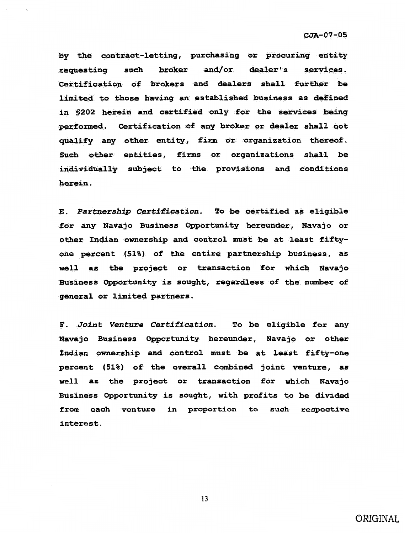by the contract-letting, purchasing or procuring entity requesting such broker and/or dealer's services. Certification of brokers and dealers shall further be limited to those having an established business as defined in §202 herein and certified only for the services being performed. Certification of any broker or dealer shall not qualify any other entity, firm or organization thereof. Such other entities, firms or organizations shall be individually subject to the provisions and conditions herein.

E. *Partnership Certi£ication.* To be certified as e1igible for any Navajo Business Opportunity hereunder, Navajo or other Indian ownership and control must be at least fiftyone percent (Si%) of the entire partnership business, as well as the project or transaction for which Navajo Business Opportunity is sought, regardless of the number of general or limited partners.

F. *Joint Venture Certi£ication.* To be eligible for any Navajo Business Opportunity hereunder, Navajo or other Indian ownership and control must be at least fifty-one percent (51%) of the overall combined joint venture, as well as the project or transaction for which Navajo Business Opportunity is sought, with profits to be divided from each venture in proportion to such respective interest.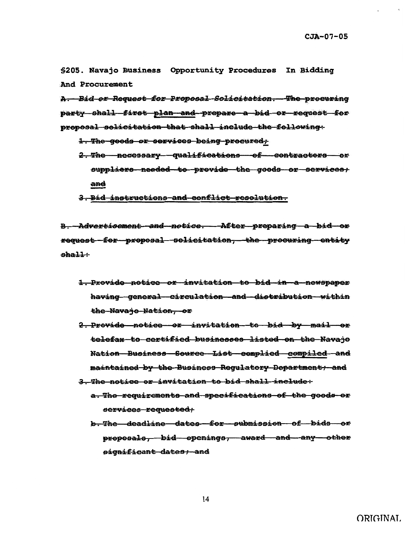\$205. Navajo Business Opportunity Procedures In Bidding And Procurement

A. Bid or Request for Proposal Solicitation. The procuring party shall first plan and prepare a bid or request for proposal solicitation that shall include the following:

- 1. The goods or services being procured,
- 2. The necessary qualifications of contractors or suppliers needed to provide the goods or services; and
- 3. Bid instructions and conflict resolution.

**B.** Advertisement and notice. After preparing a bid or request for proposal solicitation, the procuring entity  $shall$ :

- 1. Provide notice or invitation to bid in a newspaper having general circulation and distribution within the Navajo Nation, or
- 2. Provide notice or invitation to bid by mail or telefax to certified businesses listed on the Navajo Nation Business Source List complied compiled and maintained by the Business Regulatory Department, and
- 3. The notice or invitation to bid shall include:
	- a. The requirements and specifications of the goods or services requested;
	- b. The deadline dates for submission of bids or proposals, bid openings, award and any other significant dates; and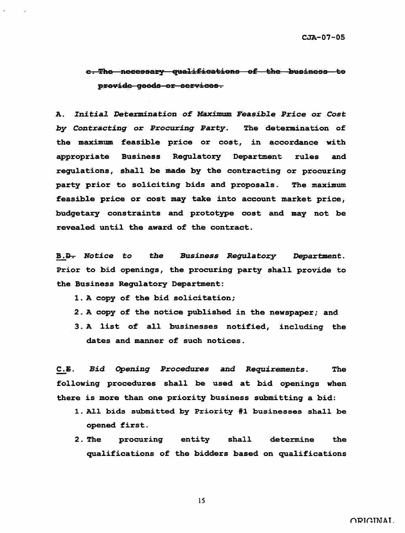# e. The necessary qualifications of the business to provide goods or services.

A. Initial Determination of Maximum Feasible Price or Cost by Contracting or Procuring Party. The determination of the maximum feasible price or cost, in accordance with appropriate Business Regulatory Department rules and regulations, shall be made by the contracting or procuring party prior to soliciting bids and proposals. The maximum feasible price or cost may take into account market price, budgetary constraints and prototype cost and may not be revealed until the award of the contract.

**Business Regulatory B.<del>D.</del>** Notice to the Department. Prior to bid openings, the procuring party shall provide to the Business Regulatory Department:

- 1. A copy of the bid solicitation;
- 2. A copy of the notice published in the newspaper; and
- 3. A list of all businesses notified, including the dates and manner of such notices.

 $C.E.$ Bid Opening Procedures and Requirements. The following procedures shall be used at bid openings when there is more than one priority business submitting a bid:

- 1. All bids submitted by Priority #1 businesses shall be opened first.
- $2.$  The procuring entity shall determine the qualifications of the bidders based on qualifications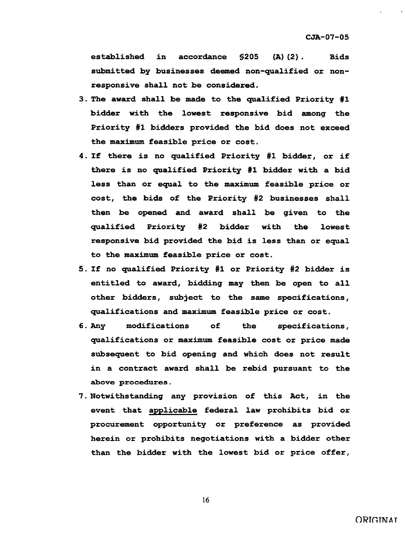established in accordance \$205 (A)(2). Bids submitted by businesses deemed non-qualified or nonresponsive shall not be considered.

- 3. The award shall be made to the qualified Priority #1 bidder with the lowest responsive bid among the Priority #1 bidders provided the bid does not exceed the maximum feasible price or cost.
- 4 . If there is no qualified Priority #1 bidder, or if there is no qualified Priority #1 bidder with a bid less than or equal to the maximum feasible price or cost, the bids of the Priority #2 businesses shall then be opened and award shall be given to the qualified Priority #2 bidder with the lowest responsive bid provided the bid is less than or equal to the maximum feasible price or cost.
- 5. If no qualified Priority #1 or Priority #2 bidder is entitled to award, bidding may then be open to all other bidders, subject to the same specifications, qualifications and maximum feasible price or cost.
- 6. Any modifications of the specifications, qualifications or maximum feasible cost or price made subsequent to bid opening and which does not result in a contract award shall be rebid pursuant to the above procedures.
- 7. Notwithstanding any provision of this Act, in the event that applicable federal law prohibits bid or procurement opportunity or preference as provided herein or prohibits negotiations with a bidder other than the bidder with the lowest bid or price offer,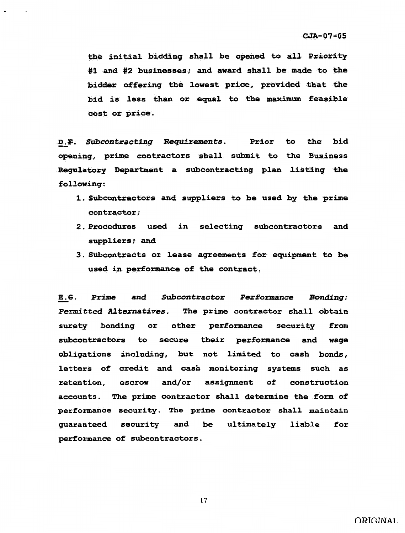the initial bidding shall be opened to all Priority #1 and #2 businesses; and award shall be made to the bidder offering the lowest price, provided that the bid is less than or equal to the maximum feasible cost or price.

D.F. Subcontracting Requirements. Prior to the bid opening, prime contractors shall submit to the Business Regulatory Department a subcontracting plan listing the following:

- 1. Subcontractors and suppliers to be used by the prime contractor;
- 2 . Procedures used in selecting subcontractors and suppliers; and
- 3. Subcontracts or lease agreements for equipment to be used in performance of the contract.

E.G. **Prime and Subcontractor Performance Bonding:** Permitted Alternatives. The prime contractor shall obtain surety bonding or other performance security from subcontractors to secure their performance and wage obligations including, but not limited to cash bonds, letters of credit and cash monitoring systems such as retention, escrow and/or assignment of construction accounts. The prime contractor shall determine the form of performance security. The prime contractor shall maintain guaranteed security and be performance of subcontractors. ultimately liable for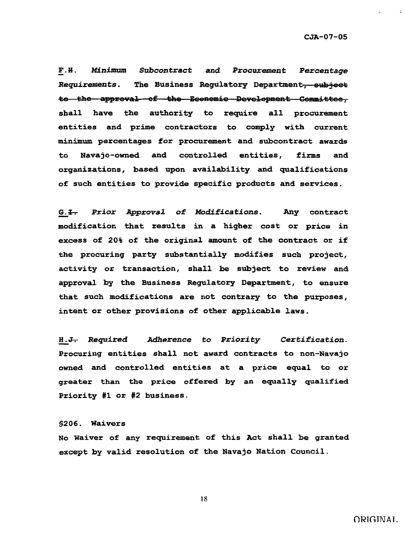$\sim$ 

F.H. Minimum Subcontract and Procurement Percentage Requirements. The Business Regulatory Department, subject to the approval of the Economic Development Committee, shall have the authority to require all procurement entities and prime contractors to comply with current minimum percentages for procurement and subcontract awards Navajo-owned and controlled entities, firms and to organizations, based upon availability and qualifications of such entities to provide specific products and services.

G.<del>I.</del> Prior Approval of Modifications. Any contract modification that results in a higher cost or price in excess of 20% of the original amount of the contract or if the procuring party substantially modifies such project, activity or transaction, shall be subject to review and approval by the Business Regulatory Department, to ensure that such modifications are not contrary to the purposes, intent or other provisions of other applicable laws.

**Adherence to Priority** Certification. **H.<del>J.</del> Required** Procuring entities shall not award contracts to non-Navajo owned and controlled entities at a price equal to or greater than the price offered by an equally qualified Priority #1 or #2 business.

#### \$206. Waivers

No Waiver of any requirement of this Act shall be granted except by valid resolution of the Navajo Nation Council.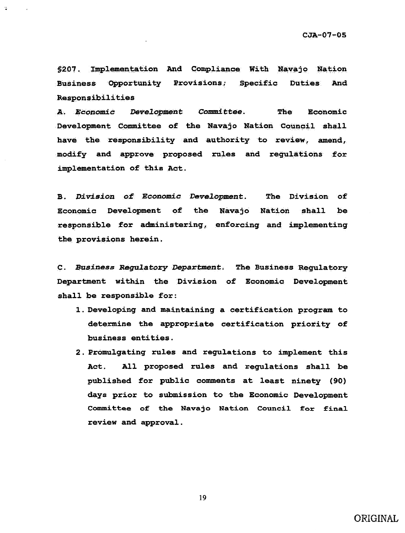\$207. Implementation And Compliance With Navajo Nation Business Opportunity Provisions; Specific Duties And Responsibilities

Development Committee. The A. Economic Economic Development Committee of the Navajo Nation Council shall have the responsibility and authority to review, amend, modify and approve proposed rules and regulations for implementation of this Act.

**B. Division of Economic Development.** The Division of Economic Development of the Navajo Nation shall be responsible for administering, enforcing and implementing the provisions herein.

C. Business Regulatory Department. The Business Regulatory Department within the Division of Economic Development shall be responsible for:

- 1. Developing and maintaining a certification program to determine the appropriate certification priority of business entities.
- 2. Promulgating rules and regulations to implement this Act. All proposed rules and regulations shall be published for public comments at least ninety (90) days prior to submission to the Economic Development Committee of the Navajo Nation Council for final review and approval.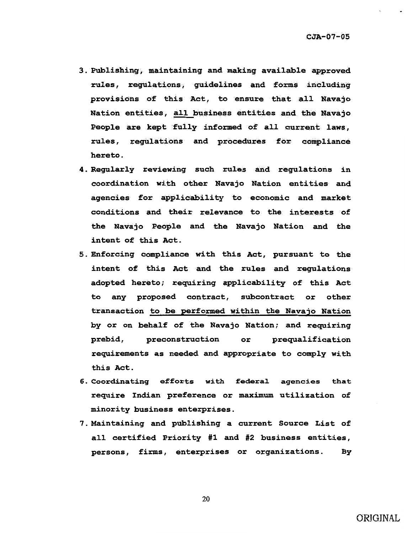- 3 . Publishing, maintaining and making available approved rules, regulations, guidelines and forms including provisions of this Act, to ensure that all Navajo Nation entities, all business entities and. the Navajo People are kept fully informed of all current laws, rules, regulations and procedures for compliance hereto.
- 4. Regularly reviewing such rules and regulations in coordination with other Navajo Nation entities and agencies for applicability to economic and market conditions and their relevance to the interests of the Navajo People and the Navajo Nation and the intent of this Act.
- 5. Enforcing compliance with this Act, pursuant to the intent of this Act and the rules and regulations adopted hereto; requiring applicability of this Act to any proposed contract, subcontract or other transaction to be performed within the Navajo Nation by or on behalf of the Navajo Nation; and requiring prebid, preconstruction or prequalification requirements as needed and appropriate to comply with this Act.
- 6. Coordinating efforts with federal agencies that require Indian preference or maximum utilization of minority business enterprises.
- 7. Maintaining and publishing a current Source List of all certified Priority #1 and #2 business entities, persons, firms, enterprises or organizations. By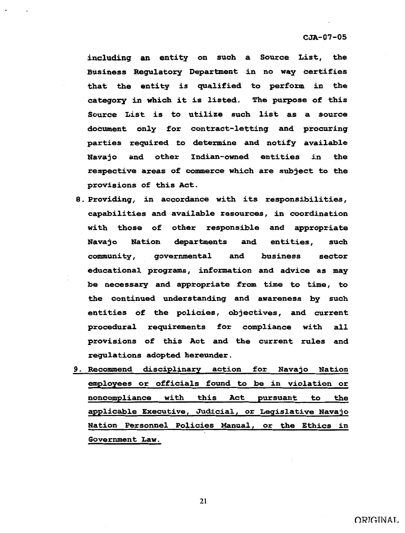including an entity on such a Source List, the **Business Regulatory Department in no way certifies** that the entity is qualified to perform in the category in which it is listed. The purpose of this Source List is to utilize such list as a source document only for contract-letting and procuring parties required to determine and notify available Navajo and other Indian-owned entities in the respective areas of commerce which are subject to the provisions of this Act.

- 8. Providing, in accordance with its responsibilities, capabilities and available resources, in coordination with those of other responsible and appropriate Navajo Nation departments and entities, such community, governmental and business sector educational programs, information and advice as may be necessary and appropriate from time to time, to the continued understanding and awareness by such entities of the policies, objectives, and current procedural requirements for compliance with all provisions of this Act and the current rules and regulations adopted hereunder.
- 9. Recommend disciplinary action for Navajo Nation employees or officials found to be in violation or noncompliance with this Act pursuant to the applicable Executive, Judicial, or Legislative Navajo Nation Personnel Policies Manual, or the Ethics in Government Law.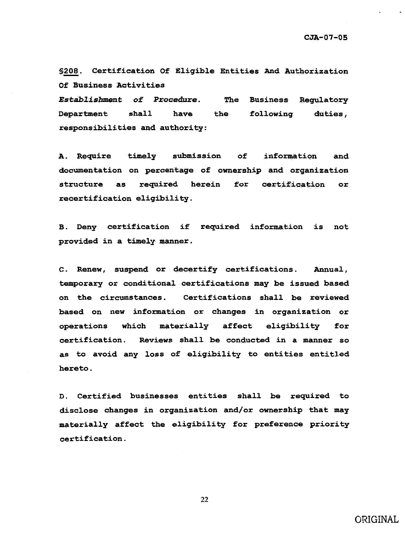\$208. Certification Of Eligible Entities And Authorization Of Business Activities

Establishment of Procedure. The **Business Regulatory** Department  $\verb|shall|$ have the following duties. responsibilities and authority:

A. Require timely submission  $of$ information and. documentation on percentage of ownership and organization required herein for certification structure as or recertification eligibility.

B. Deny certification if required information is not provided in a timely manner.

C. Renew, suspend or decertify certifications. Annual. temporary or conditional certifications may be issued based Certifications shall be reviewed on the circumstances. based on new information or changes in organization or operations which materially affect eligibility for certification. Reviews shall be conducted in a manner so as to avoid any loss of eligibility to entities entitled hereto.

D. Certified businesses entities shall be required to disclose changes in organization and/or ownership that may materially affect the eligibility for preference priority certification.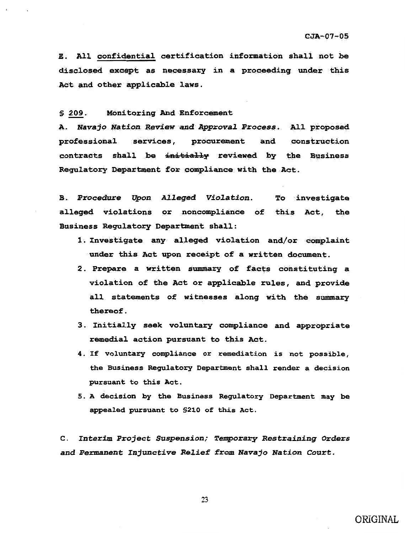E. All confidential certification information shall not be disclosed except as necessary in a proceeding under this Act and other applicable laws.

Monitoring And Enforcement  $$209.$ 

A. Navajo Nation Review and Approval Process. All proposed procurement and construction professional services, contracts shall be initially reviewed by the Business Regulatory Department for compliance with the Act.

B. Procedure Upon Alleged Violation. To investigate alleged violations or noncompliance of this Act, the Business Regulatory Department shall:

- 1. Investigate any alleged violation and/or complaint under this Act upon receipt of a written document.
- 2. Prepare a written summary of facts constituting a violation of the Act or applicable rules, and provide all statements of witnesses along with the summary thereof.
- 3. Initially seek voluntary compliance and appropriate remedial action pursuant to this Act.
- 4. If voluntary compliance or remediation is not possible, the Business Regulatory Department shall render a decision pursuant to this Act.
- 5. A decision by the Business Regulatory Department may be appealed pursuant to \$210 of this Act.

C. Interim Project Suspension; Temporary Restraining Orders and Permanent Injunctive Relief from Navajo Nation Court.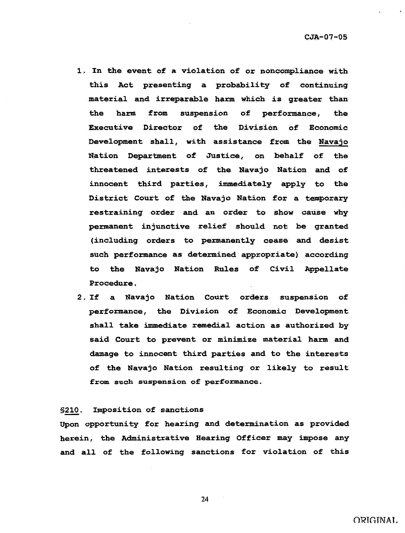- 1. In the event of a violation of or noncompliance with this Act presenting a probability of continuing material and irreparable harm which is greater than the harm from suspension of performance, the Executive Director of the Division of Economic Development shall., with assistance from the Navajo Nation Department of Justice, on behalf of the threatened interests of the. Navajo Nation and of innocent third parties, immediately apply to the District Court of the Navajo Nation for a temporary restraining order and an order to show cause why permanent injunctive relief should not be granted (including orders to permanently cease and desist such performance as determined appropriate) according to the Navajo Nation Rules of Civil Appellate Procedure.
- 2. If a Navajo Nation Court orders suspension of performance, the Division of Economic Development shall take immediate remedial action as authorized by said Court to prevent or minimize material harm and damage to innocent third parties and to the interests of the Navajo Nation resulting or likely to result from such suspension of performance.

#### §210. Imposition of sanctions

Upon opportunity for hearing and determination as provided herein, the Administrative Hearing Officer may impose any and all of the following sanctions for violation of this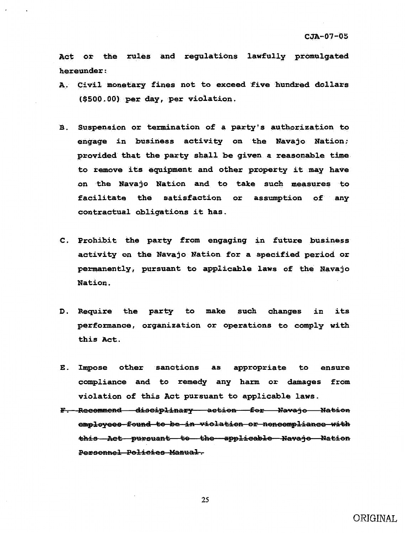Act or the rules and regulations lawfully promulgated hereunder:

- A. Civil monetary fines not to exceed five hundred dollars (\$500.00) per day, per violation.
- B. Suspension or termination of a party's authorization to engage in business activity on the Navajo Nation; provided that the party shall be given a reasonable time to remove its equipment and other property it may have on the Navajo Nation and to take such measures to facilitate the satisfaction or assumption of any contractual obligations it has.
- C. Prohibit the party from engaging in future business activity on the Navajo Nation for a specified period or permanently, pursuant to applicable laws of the Navajo Nation.
- D. Require the party to make such changes in its performance, organization or operations to comply with this Act.
- Impose other sanctions as appropriate to  $\mathbf{E}$ . ensure compliance and to remedy any harm or damages from violation of this Act pursuant to applicable laws.
- F. Recommend disciplinary action for Navajo Nation employees found to be in violation or noncompliance with this Act pursuant to the applicable Navajo Nation Personnel Policies Manual.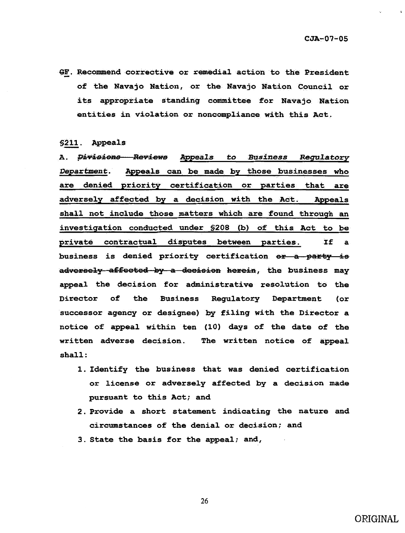GF. Recommend corrective or remedial action to the President of the Navajo Nation, or the Navajo Nation Council or its appropriate standing committee for Navajo Nation entities in violation or noncompliance with this Act.

\$211. Appeals

**A. <del>Divisions Reviews</del> Appeals to Business Regulatory** Appeals can be made by those businesses who *Department.* are denied priority certification or parties that are adversely affected by a decision with the Act. Appeals shall not include those matters which are found through an investigation conducted under \$208 (b) of this Act to be private contractual disputes between parties. If  $\mathbf{a}$ business is denied priority certification or a party is adversely affected by a decision herein, the business may appeal the decision for administrative resolution to the **Business Regulatory Department** Director of the  $($ or successor agency or designee) by filing with the Director a notice of appeal within ten (10) days of the date of the written adverse decision. The written notice of appeal  $shall:$ 

- 1. Identify the business that was denied certification or license or adversely affected by a decision made pursuant to this Act; and
- 2. Provide a short statement indicating the nature and circumstances of the denial or decision; and
- 3. State the basis for the appeal; and,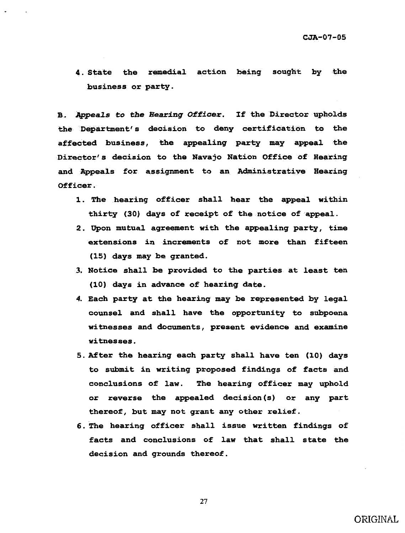4 . State the remedial action being sought by the business or party.

B. Appeals to the Hearing Officer. If the Director upholds the Department's decision to deny certification to the affected business, the appealing party may appeal the Director's decision to the Navajo Nation Office of Bearing and Appeals for assignment to an Administrative Hearing Officer.

- 1. The hearing officer shall hear the appeal within thirty (30) days of receipt of the notice of appeal.
- 2. Upon mutual agreement with the appealing party, time extensions in increments of not more than fifteen (15) days may be granted.
- 3. Notice shall be provided to the parties at least ten (10) days in advance of hearing date.
- 4. Each party at the hearing may be represented by legal counsel and shall have the opportunity to subpoena witnesses and documents, present evidence and examine witnesses.
- 5. After the hearing each party shall have ten (10) days to submit in writing proposed findings of facts and conclusions of law. The bearing officer may uphold or reverse the appealed decision(s) or any part thereof, but may not grant any other relief.
- 6. The hearing officer shall issue written findings of facts and conclusions of law that shall state the decision and grounds thereof.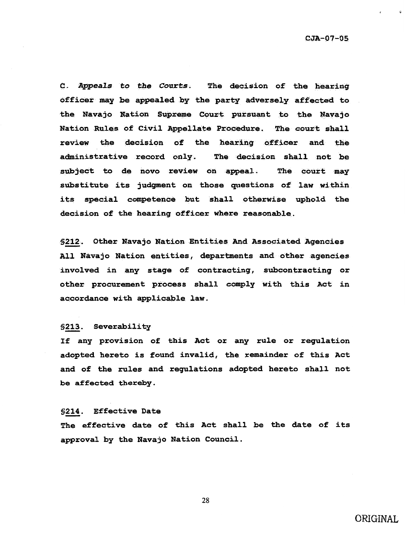$\mathbf{G}$ 

C. Appeals to the Courts. The decision of the hearing officer may be appealed by the party adversely affected to the Navajo Nation Supreme Court pursuant to the Navajo Nation Rules of Civil Appellate Procedure. The court shall review the decision of the hearing officer and the administrative record only. The decision shall not be subject to de novo review on appeal. The court may substitute its judgment on those questions of law within its special competence but shall otherwise uphold the decision of the hearing officer where reasonable.

§212. Other Navajo Nation Entities And Associated Agencies All Navajo Nation entities, departments and other agencies involved in any stage of contracting, subcontracting or other procurement process shall comply with this Act in accordance with applicable law.

#### §213. Severability

If any provision of this Act or any rule or regulation adopted hereto is found invalid, the remainder of this Act and of the rules and regulations adopted hereto shall not be affected thereby.

#### §214. Effective Date

The effective date of this Act shall be the date of its approval by the Navajo Nation Council.

28

### ORIGINAL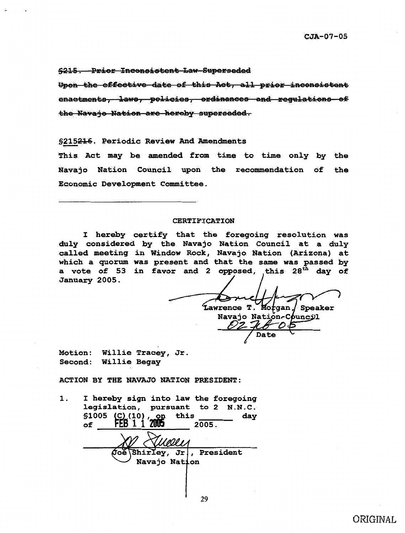\$215. Prior Inconsistent Law-Superseded

Upon the effective date of this Act, all prior inconsistent enactments, laws, policies, ordinances and regulations of the Navaje Nation-are hereby superseded.

\$215216. Periodic Review And Amendments

This Act may be amended from time to time only by the Navajo Nation Council upon the recommendation of the Economic Development Committee.

#### **CERTIFICATION**

I hereby certify that the foregoing resolution was duly considered by the Navajo Nation Council at a duly called meeting in Window Rock, Navajo Nation (Arizona) at which a quorum was present and that the same was passed by a vote of 53 in favor and 2 opposed, this 28<sup>th</sup> day of January 2005.

Lawrence T. Morgan, *Speaker* Navajo Nation-Council **Date** 

Motion: Willie Tracey, Jr. Second: Willie Begay

ACTION BY THE NAVAJO NATION PRESIDENT:

I hereby sign into law the foregoing  $\mathbf 1$ . legislation, pursuant to 2 N.N.C. \$1005 (C) (10), on this<br>of FEB 1 1 2005 day  $2005.$ Shirley, Jr, President Navajo Nation